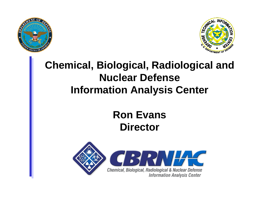



#### **Chemical, Biological, Radiological and Nuclear DefenseInformation Analysis Center**

#### **Ron EvansDirector**

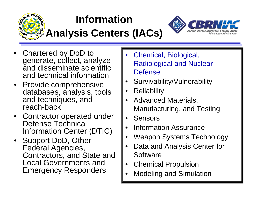

#### **Information**

### **Analysis Centers (IACs)**



- Chartered by DoD to generate, collect, analyze and disseminate scientific and technical information
- Provide comprehensive databases, analysis, tools and techniques, and reach-back
- Contractor operated under Defense Technical Information Center (DTIC)
- Support DoD, Other Federal Agencies, Contractors, and State and Local Governments and Emergency Responders
- Chemical, Biological, Radiological and Nuclear **Defense**
- Survivability/Vulnerability
- **Reliability**
- Advanced Materials, Manufacturing, and Testing
- **Sensors**
- Information Assurance
- Weapon Systems Technology
- Data and Analysis Center for **Software**
- Chemical Propulsion
- Modeling and Simulation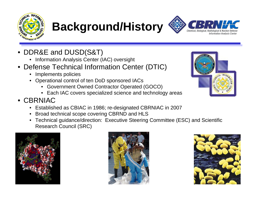

# **Background/History**

- DDR&E and DUSD(S&T)
	- Information Analysis Center (IAC) oversight
- Defense Technical Information Center (DTIC)
	- Implements policies
	- Operational control of ten DoD sponsored IACs
		- Government Owned Contractor Operated (GOCO)
		- Each IAC covers specialized science and technology areas
- CBRNIAC
	- Established as CBIAC in 1986; re-designated CBRNIAC in 2007
	- Broad technical scope covering CBRND and HLS
	- Technical guidance/direction: Executive Steering Committee (ESC) and Scientific Research Council (SRC)







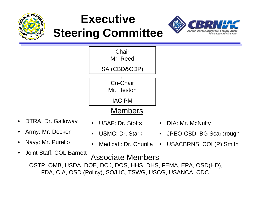

## **Executive Steering Committee**



- DTRA: Dr. Galloway
- Army: Mr. Decker
- Navy: Mr. Purello
- USAF: Dr. Stotts
- USMC: Dr. Stark
- Medical : Dr. Churilla
- Joint Staff: COL Barnett Associate Members OSTP, OMB, USDA, DOE, DOJ, DOS, HHS, DHS, FEMA, EPA, OSD(HD), FDA, CIA, OSD (Policy), SO/LIC, TSWG, USCG, USANCA, CDC
- DIA: Mr. McNulty
- JPEO-CBD: BG Scarbrough
- USACBRNS: COL(P) Smith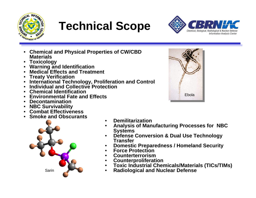

# **Technical Scope**



- **Chemical and Physical Properties of CW/CBD Materials**
- **Toxicology**
- **Warning and Identification**
- **Medical Effects and Treatment**
- **Treaty Verification**
- **International Technology, Proliferation and Control**
- **Individual and Collective Protection**
- **Chemical Identification**
- **Environmental Fate and Effects**
- **Decontamination**
- **NBC Survivability**
- **Combat Effectiveness**
- **Smoke and Obscurants**



- **Demilitarization**
- **Analysis of Manufacturing Processes for NBC Systems**
- **Defense Conversion & Dual Use Technology Transfer**
- **Domestic Preparedness / Homeland Security**
- **Force Protection**
- **Counterterrorism**
- **Counterproliferation**
- **Toxic Industrial Chemicals/Materials (TICs/TIMs)**
- **Radiological and Nuclear Defense**

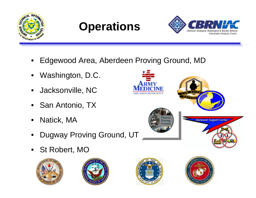





- Edgewood Area, Aberdeen Proving Ground, MD
- Washington, D.C.
- Jacksonville, NC
- San Antonio, TX
- Natick, MA
- Dugway Proving Ground, UT
- St Robert, MO









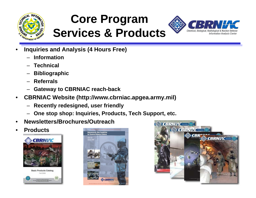

#### **Core Program Services & Products**



- **Inquiries and Analysis (4 Hours Free)**
	- **Information**
	- **Technical**
	- **Bibliographic**
	- **Referrals**
	- **Gateway to CBRNIAC reach-back**
- **CBRNIAC Website (http://www.cbrniac.apgea.army.mil)**
	- **Recently redesigned, user friendly**
	- **One stop shop: Inquiries, Products, Tech Support, etc.**
- **Newsletters/Brochures/Outreach**
- **Products**



Cuit Director



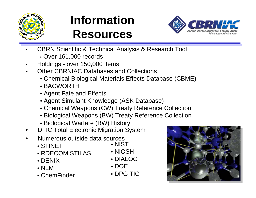

## **InformationResources**



- CBRN Scientific & Technical Analysis & Research Tool
	- Over 161,000 records
- Holdings over 150,000 items
- Other CBRNIAC Databases and Collections
	- Chemical Biological Materials Effects Database (CBME)
	- BACWORTH
	- Agent Fate and Effects
	- Agent Simulant Knowledge (ASK Database)
	- Chemical Weapons (CW) Treaty Reference Collection
	- Biological Weapons (BW) Treaty Reference Collection
	- Biological Warfare (BW) History
- •DTIC Total Electronic Migration System
- • Numerous outside data sources
	- STINET
	- RDECOM STILAS
	- DENIX
	- NLM
	- ChemFinder
- NIST
- NIOSH
- DIALOG
- DOE
- DPG TIC

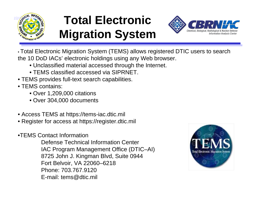

## **Total Electronic Migration System**



• Total Electronic Migration System (TEMS) allows registered DTIC users to search the 10 DoD IACs' electronic holdings using any Web browser.

- Unclassified material accessed through the Internet.
- TEMS classified accessed via SIPRNET.
- TEMS provides full-text search capabilities.
- TEMS contains:
	- Over 1,209,000 citations
	- Over 304,000 documents
- Access TEMS at https://tems-iac.dtic.mil
- Register for access at https://register.dtic.mil
- •TEMS Contact Information

Defense Technical Information Center IAC Program Management Office (DTIC–AI) 8725 John J. Kingman Blvd, Suite 0944 Fort Belvoir, VA 22060–6218 Phone: 703.767.9120 E-mail: tems@dtic.mil

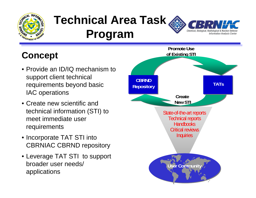

### **Technical Area Task Program**

#### **Information Analysis Center**

#### **Concept**

- Provide an ID/IQ mechanism to support client technical requirements beyond basic IAC operations
- Create new scientific and technical information (STI) to meet immediate user requirements
- Incorporate TAT STI into CBRNIAC CBRND repository
- Leverage TAT STI to support broader user needs/ applications

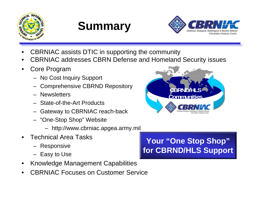





- CBRNIAC assists DTIC in supporting the community
- CBRNIAC addresses CBRN Defense and Homeland Security issues
- Core Program
	- No Cost Inquiry Support
	- Comprehensive CBRND Repository
	- Newsletters
	- State-of-the-Art Products
	- Gateway to CBRNIAC reach-back
	- "One-Stop Shop" Website
		- http://www.cbrniac.apgea.army.mil
- Technical Area Tasks
	- Responsive
	- Easy to Use
- Knowledge Management Capabilities
- CBRNIAC Focuses on Customer Service

#### **Your "One Stop Shop" for CBRND/HLS Support**